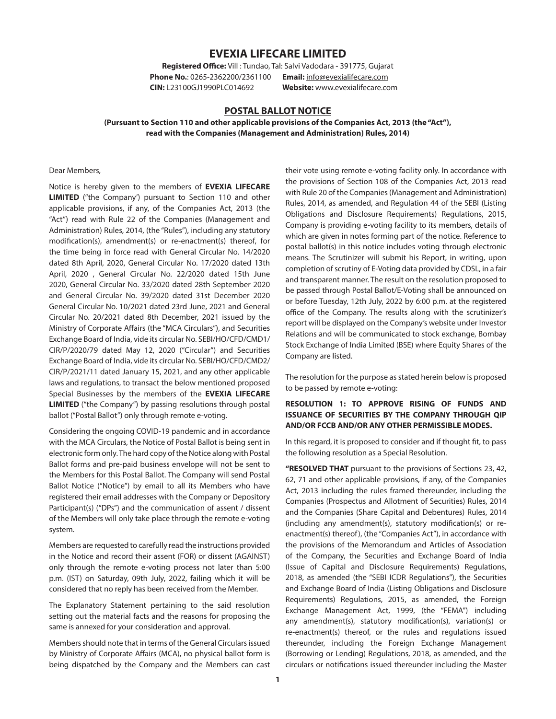# **EVEXIA LIFECARE LIMITED**

**Registered Office:** Vill : Tundao, Tal: Salvi Vadodara - 391775, Gujarat **Phone No.**: 0265-2362200/2361100 **Email:** [info@evexialifecare.com](mailto:info@evexialifecare.com) **CIN:** L23100GJ1990PLC014692 **Website:** www.evexialifecare.com

## **POSTAL BALLOT NOTICE**

### **(Pursuant to Section 110 and other applicable provisions of the Companies Act, 2013 (the "Act"), read with the Companies (Management and Administration) Rules, 2014)**

Dear Members,

Notice is hereby given to the members of **EVEXIA LIFECARE LIMITED** ("the Company') pursuant to Section 110 and other applicable provisions, if any, of the Companies Act, 2013 (the "Act") read with Rule 22 of the Companies (Management and Administration) Rules, 2014, (the "Rules"), including any statutory modification(s), amendment(s) or re-enactment(s) thereof, for the time being in force read with General Circular No. 14/2020 dated 8th April, 2020, General Circular No. 17/2020 dated 13th April, 2020 , General Circular No. 22/2020 dated 15th June 2020, General Circular No. 33/2020 dated 28th September 2020 and General Circular No. 39/2020 dated 31st December 2020 General Circular No. 10/2021 dated 23rd June, 2021 and General Circular No. 20/2021 dated 8th December, 2021 issued by the Ministry of Corporate Affairs (the "MCA Circulars"), and Securities Exchange Board of India, vide its circular No. SEBI/HO/CFD/CMD1/ CIR/P/2020/79 dated May 12, 2020 ("Circular") and Securities Exchange Board of India, vide its circular No. SEBI/HO/CFD/CMD2/ CIR/P/2021/11 dated January 15, 2021, and any other applicable laws and regulations, to transact the below mentioned proposed Special Businesses by the members of the **EVEXIA LIFECARE LIMITED** ("the Company") by passing resolutions through postal ballot ("Postal Ballot") only through remote e-voting.

Considering the ongoing COVID-19 pandemic and in accordance with the MCA Circulars, the Notice of Postal Ballot is being sent in electronic form only. The hard copy of the Notice along with Postal Ballot forms and pre-paid business envelope will not be sent to the Members for this Postal Ballot. The Company will send Postal Ballot Notice ("Notice") by email to all its Members who have registered their email addresses with the Company or Depository Participant(s) ("DPs") and the communication of assent / dissent of the Members will only take place through the remote e-voting system.

Members are requested to carefully read the instructions provided in the Notice and record their assent (FOR) or dissent (AGAINST) only through the remote e-voting process not later than 5:00 p.m. (IST) on Saturday, 09th July, 2022, failing which it will be considered that no reply has been received from the Member.

The Explanatory Statement pertaining to the said resolution setting out the material facts and the reasons for proposing the same is annexed for your consideration and approval.

Members should note that in terms of the General Circulars issued by Ministry of Corporate Affairs (MCA), no physical ballot form is being dispatched by the Company and the Members can cast their vote using remote e-voting facility only. In accordance with the provisions of Section 108 of the Companies Act, 2013 read with Rule 20 of the Companies (Management and Administration) Rules, 2014, as amended, and Regulation 44 of the SEBI (Listing Obligations and Disclosure Requirements) Regulations, 2015, Company is providing e-voting facility to its members, details of which are given in notes forming part of the notice. Reference to postal ballot(s) in this notice includes voting through electronic means. The Scrutinizer will submit his Report, in writing, upon completion of scrutiny of E-Voting data provided by CDSL, in a fair and transparent manner. The result on the resolution proposed to be passed through Postal Ballot/E-Voting shall be announced on or before Tuesday, 12th July, 2022 by 6:00 p.m. at the registered office of the Company. The results along with the scrutinizer's report will be displayed on the Company's website under Investor Relations and will be communicated to stock exchange, Bombay Stock Exchange of India Limited (BSE) where Equity Shares of the Company are listed.

The resolution for the purpose as stated herein below is proposed to be passed by remote e-voting:

## **RESOLUTION 1: TO APPROVE RISING OF FUNDS AND ISSUANCE OF SECURITIES BY THE COMPANY THROUGH QIP AND/OR FCCB AND/OR ANY OTHER PERMISSIBLE MODES.**

In this regard, it is proposed to consider and if thought fit, to pass the following resolution as a Special Resolution.

**"RESOLVED THAT** pursuant to the provisions of Sections 23, 42, 62, 71 and other applicable provisions, if any, of the Companies Act, 2013 including the rules framed thereunder, including the Companies (Prospectus and Allotment of Securities) Rules, 2014 and the Companies (Share Capital and Debentures) Rules, 2014 (including any amendment(s), statutory modification(s) or reenactment(s) thereof), (the "Companies Act"), in accordance with the provisions of the Memorandum and Articles of Association of the Company, the Securities and Exchange Board of India (Issue of Capital and Disclosure Requirements) Regulations, 2018, as amended (the "SEBI ICDR Regulations"), the Securities and Exchange Board of India (Listing Obligations and Disclosure Requirements) Regulations, 2015, as amended, the Foreign Exchange Management Act, 1999, (the "FEMA") including any amendment(s), statutory modification(s), variation(s) or re-enactment(s) thereof, or the rules and regulations issued thereunder, including the Foreign Exchange Management (Borrowing or Lending) Regulations, 2018, as amended, and the circulars or notifications issued thereunder including the Master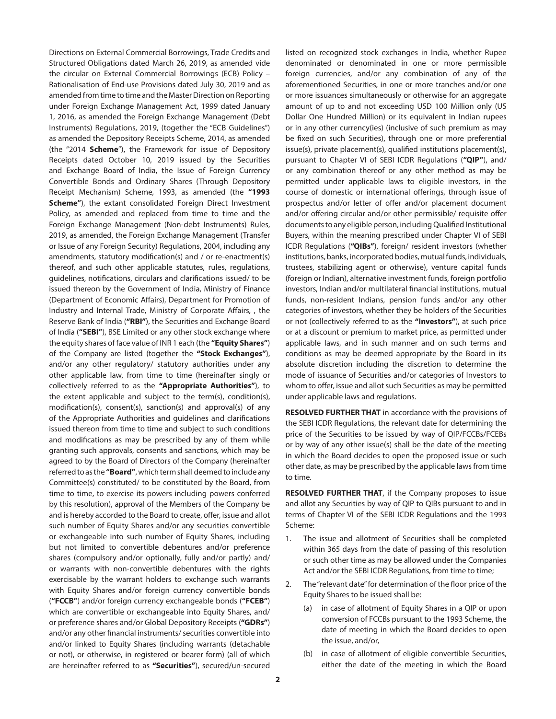Directions on External Commercial Borrowings, Trade Credits and Structured Obligations dated March 26, 2019, as amended vide the circular on External Commercial Borrowings (ECB) Policy – Rationalisation of End-use Provisions dated July 30, 2019 and as amended from time to time and the Master Direction on Reporting under Foreign Exchange Management Act, 1999 dated January 1, 2016, as amended the Foreign Exchange Management (Debt Instruments) Regulations, 2019, (together the "ECB Guidelines") as amended the Depository Receipts Scheme, 2014, as amended (the "2014 **Scheme**"), the Framework for issue of Depository Receipts dated October 10, 2019 issued by the Securities and Exchange Board of India, the Issue of Foreign Currency Convertible Bonds and Ordinary Shares (Through Depository Receipt Mechanism) Scheme, 1993, as amended (the **"1993 Scheme"**), the extant consolidated Foreign Direct Investment Policy, as amended and replaced from time to time and the Foreign Exchange Management (Non-debt Instruments) Rules, 2019, as amended, the Foreign Exchange Management (Transfer or Issue of any Foreign Security) Regulations, 2004, including any amendments, statutory modification(s) and / or re-enactment(s) thereof, and such other applicable statutes, rules, regulations, guidelines, notifications, circulars and clarifications issued/ to be issued thereon by the Government of India, Ministry of Finance (Department of Economic Affairs), Department for Promotion of Industry and Internal Trade, Ministry of Corporate Affairs, , the Reserve Bank of India (**"RBI"**), the Securities and Exchange Board of India (**"SEBI"**), BSE Limited or any other stock exchange where the equity shares of face value of INR 1 each (the **"Equity Shares"**) of the Company are listed (together the **"Stock Exchanges"**), and/or any other regulatory/ statutory authorities under any other applicable law, from time to time (hereinafter singly or collectively referred to as the **"Appropriate Authorities"**), to the extent applicable and subject to the term(s), condition(s), modification(s), consent(s), sanction(s) and approval(s) of any of the Appropriate Authorities and guidelines and clarifications issued thereon from time to time and subject to such conditions and modifications as may be prescribed by any of them while granting such approvals, consents and sanctions, which may be agreed to by the Board of Directors of the Company (hereinafter referred to as the **"Board"**, which term shall deemed to include any Committee(s) constituted/ to be constituted by the Board, from time to time, to exercise its powers including powers conferred by this resolution), approval of the Members of the Company be and is hereby accorded to the Board to create, offer, issue and allot such number of Equity Shares and/or any securities convertible or exchangeable into such number of Equity Shares, including but not limited to convertible debentures and/or preference shares (compulsory and/or optionally, fully and/or partly) and/ or warrants with non-convertible debentures with the rights exercisable by the warrant holders to exchange such warrants with Equity Shares and/or foreign currency convertible bonds (**"FCCB"**) and/or foreign currency exchangeable bonds (**"FCEB"**) which are convertible or exchangeable into Equity Shares, and/ or preference shares and/or Global Depository Receipts (**"GDRs"**) and/or any other financial instruments/ securities convertible into and/or linked to Equity Shares (including warrants (detachable or not), or otherwise, in registered or bearer form) (all of which are hereinafter referred to as **"Securities"**), secured/un-secured

listed on recognized stock exchanges in India, whether Rupee denominated or denominated in one or more permissible foreign currencies, and/or any combination of any of the aforementioned Securities, in one or more tranches and/or one or more issuances simultaneously or otherwise for an aggregate amount of up to and not exceeding USD 100 Million only (US Dollar One Hundred Million) or its equivalent in Indian rupees or in any other currency(ies) (inclusive of such premium as may be fixed on such Securities), through one or more preferential issue(s), private placement(s), qualified institutions placement(s), pursuant to Chapter VI of SEBI ICDR Regulations (**"QIP"**), and/ or any combination thereof or any other method as may be permitted under applicable laws to eligible investors, in the course of domestic or international offerings, through issue of prospectus and/or letter of offer and/or placement document and/or offering circular and/or other permissible/ requisite offer documents to any eligible person, including Qualified Institutional Buyers, within the meaning prescribed under Chapter VI of SEBI ICDR Regulations (**"QIBs"**), foreign/ resident investors (whether institutions, banks, incorporated bodies, mutual funds, individuals, trustees, stabilizing agent or otherwise), venture capital funds (foreign or Indian), alternative investment funds, foreign portfolio investors, Indian and/or multilateral financial institutions, mutual funds, non-resident Indians, pension funds and/or any other categories of investors, whether they be holders of the Securities or not (collectively referred to as the **"Investors"**), at such price or at a discount or premium to market price, as permitted under applicable laws, and in such manner and on such terms and conditions as may be deemed appropriate by the Board in its absolute discretion including the discretion to determine the mode of issuance of Securities and/or categories of Investors to whom to offer, issue and allot such Securities as may be permitted under applicable laws and regulations.

**RESOLVED FURTHER THAT** in accordance with the provisions of the SEBI ICDR Regulations, the relevant date for determining the price of the Securities to be issued by way of QIP/FCCBs/FCEBs or by way of any other issue(s) shall be the date of the meeting in which the Board decides to open the proposed issue or such other date, as may be prescribed by the applicable laws from time to time.

**RESOLVED FURTHER THAT**, if the Company proposes to issue and allot any Securities by way of QIP to QIBs pursuant to and in terms of Chapter VI of the SEBI ICDR Regulations and the 1993 Scheme:

- 1. The issue and allotment of Securities shall be completed within 365 days from the date of passing of this resolution or such other time as may be allowed under the Companies Act and/or the SEBI ICDR Regulations, from time to time;
- 2. The "relevant date" for determination of the floor price of the Equity Shares to be issued shall be:
	- (a) in case of allotment of Equity Shares in a QIP or upon conversion of FCCBs pursuant to the 1993 Scheme, the date of meeting in which the Board decides to open the issue, and/or,
	- (b) in case of allotment of eligible convertible Securities, either the date of the meeting in which the Board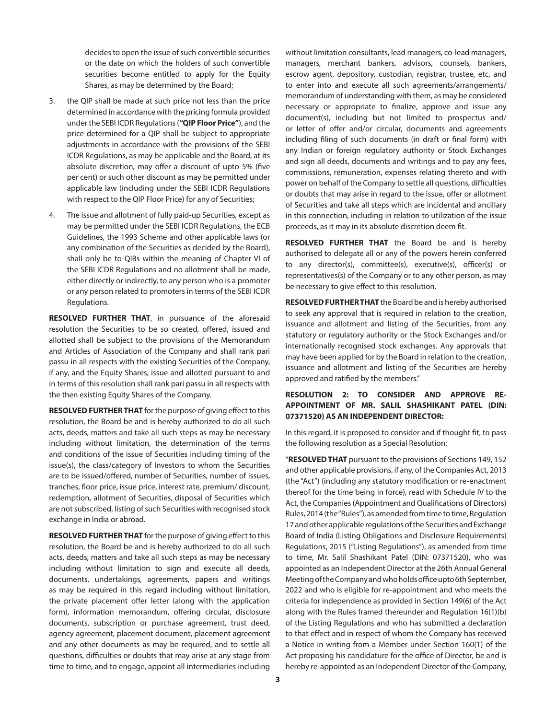decides to open the issue of such convertible securities or the date on which the holders of such convertible securities become entitled to apply for the Equity Shares, as may be determined by the Board;

- 3. the QIP shall be made at such price not less than the price determined in accordance with the pricing formula provided under the SEBI ICDR Regulations (**"QIP Floor Price"**), and the price determined for a QIP shall be subject to appropriate adjustments in accordance with the provisions of the SEBI ICDR Regulations, as may be applicable and the Board, at its absolute discretion, may offer a discount of upto 5% (five per cent) or such other discount as may be permitted under applicable law (including under the SEBI ICDR Regulations with respect to the QIP Floor Price) for any of Securities;
- 4. The issue and allotment of fully paid-up Securities, except as may be permitted under the SEBI ICDR Regulations, the ECB Guidelines, the 1993 Scheme and other applicable laws (or any combination of the Securities as decided by the Board), shall only be to QIBs within the meaning of Chapter VI of the SEBI ICDR Regulations and no allotment shall be made, either directly or indirectly, to any person who is a promoter or any person related to promoters in terms of the SEBI ICDR Regulations.

**RESOLVED FURTHER THAT**, in pursuance of the aforesaid resolution the Securities to be so created, offered, issued and allotted shall be subject to the provisions of the Memorandum and Articles of Association of the Company and shall rank pari passu in all respects with the existing Securities of the Company, if any, and the Equity Shares, issue and allotted pursuant to and in terms of this resolution shall rank pari passu in all respects with the then existing Equity Shares of the Company.

**RESOLVED FURTHER THAT** for the purpose of giving effect to this resolution, the Board be and is hereby authorized to do all such acts, deeds, matters and take all such steps as may be necessary including without limitation, the determination of the terms and conditions of the issue of Securities including timing of the issue(s), the class/category of Investors to whom the Securities are to be issued/offered, number of Securities, number of issues, tranches, floor price, issue price, interest rate, premium/ discount, redemption, allotment of Securities, disposal of Securities which are not subscribed, listing of such Securities with recognised stock exchange in India or abroad.

**RESOLVED FURTHER THAT** for the purpose of giving effect to this resolution, the Board be and is hereby authorized to do all such acts, deeds, matters and take all such steps as may be necessary including without limitation to sign and execute all deeds, documents, undertakings, agreements, papers and writings as may be required in this regard including without limitation, the private placement offer letter (along with the application form), information memorandum, offering circular, disclosure documents, subscription or purchase agreement, trust deed, agency agreement, placement document, placement agreement and any other documents as may be required, and to settle all questions, difficulties or doubts that may arise at any stage from time to time, and to engage, appoint all intermediaries including

without limitation consultants, lead managers, co-lead managers, managers, merchant bankers, advisors, counsels, bankers, escrow agent, depository, custodian, registrar, trustee, etc, and to enter into and execute all such agreements/arrangements/ memorandum of understanding with them, as may be considered necessary or appropriate to finalize, approve and issue any document(s), including but not limited to prospectus and/ or letter of offer and/or circular, documents and agreements including filing of such documents (in draft or final form) with any Indian or foreign regulatory authority or Stock Exchanges and sign all deeds, documents and writings and to pay any fees, commissions, remuneration, expenses relating thereto and with power on behalf of the Company to settle all questions, difficulties or doubts that may arise in regard to the issue, offer or allotment of Securities and take all steps which are incidental and ancillary in this connection, including in relation to utilization of the issue proceeds, as it may in its absolute discretion deem fit.

**RESOLVED FURTHER THAT** the Board be and is hereby authorised to delegate all or any of the powers herein conferred to any director(s), committee(s), executive(s), officer(s) or representatives(s) of the Company or to any other person, as may be necessary to give effect to this resolution.

**RESOLVED FURTHER THAT** the Board be and is hereby authorised to seek any approval that is required in relation to the creation, issuance and allotment and listing of the Securities, from any statutory or regulatory authority or the Stock Exchanges and/or internationally recognised stock exchanges. Any approvals that may have been applied for by the Board in relation to the creation, issuance and allotment and listing of the Securities are hereby approved and ratified by the members."

### **RESOLUTION 2: TO CONSIDER AND APPROVE RE-APPOINTMENT OF MR. SALIL SHASHIKANT PATEL (DIN: 07371520) AS AN INDEPENDENT DIRECTOR:**

In this regard, it is proposed to consider and if thought fit, to pass the following resolution as a Special Resolution:

"**RESOLVED THAT** pursuant to the provisions of Sections 149, 152 and other applicable provisions, if any, of the Companies Act, 2013 (the "Act") (including any statutory modification or re-enactment thereof for the time being in force), read with Schedule IV to the Act, the Companies (Appointment and Qualifications of Directors) Rules, 2014 (the "Rules"), as amended from time to time, Regulation 17 and other applicable regulations of the Securities and Exchange Board of India (Listing Obligations and Disclosure Requirements) Regulations, 2015 ("Listing Regulations"), as amended from time to time, Mr. Salil Shashikant Patel (DIN: 07371520), who was appointed as an Independent Director at the 26th Annual General Meeting of the Company and who holds office upto 6th September, 2022 and who is eligible for re-appointment and who meets the criteria for independence as provided in Section 149(6) of the Act along with the Rules framed thereunder and Regulation 16(1)(b) of the Listing Regulations and who has submitted a declaration to that effect and in respect of whom the Company has received a Notice in writing from a Member under Section 160(1) of the Act proposing his candidature for the office of Director, be and is hereby re-appointed as an Independent Director of the Company,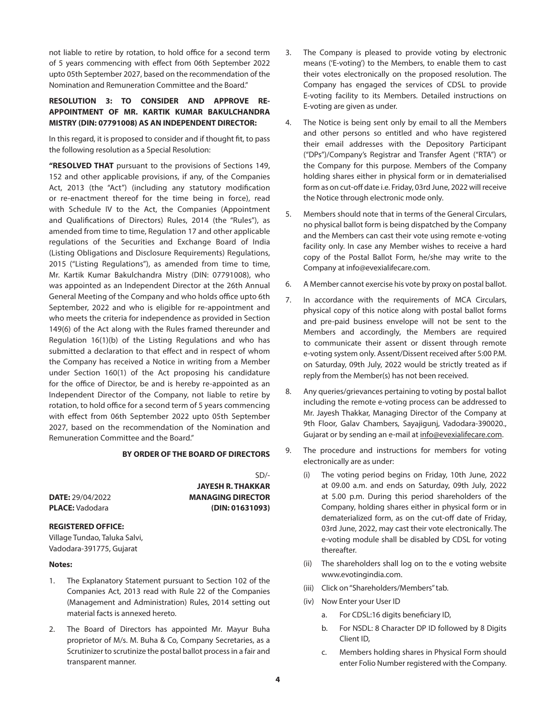not liable to retire by rotation, to hold office for a second term of 5 years commencing with effect from 06th September 2022 upto 05th September 2027, based on the recommendation of the Nomination and Remuneration Committee and the Board."

## **RESOLUTION 3: TO CONSIDER AND APPROVE RE-APPOINTMENT OF MR. KARTIK KUMAR BAKULCHANDRA MISTRY (DIN: 07791008) AS AN INDEPENDENT DIRECTOR:**

In this regard, it is proposed to consider and if thought fit, to pass the following resolution as a Special Resolution:

**"RESOLVED THAT** pursuant to the provisions of Sections 149, 152 and other applicable provisions, if any, of the Companies Act, 2013 (the "Act") (including any statutory modification or re-enactment thereof for the time being in force), read with Schedule IV to the Act, the Companies (Appointment and Qualifications of Directors) Rules, 2014 (the "Rules"), as amended from time to time, Regulation 17 and other applicable regulations of the Securities and Exchange Board of India (Listing Obligations and Disclosure Requirements) Regulations, 2015 ("Listing Regulations"), as amended from time to time, Mr. Kartik Kumar Bakulchandra Mistry (DIN: 07791008), who was appointed as an Independent Director at the 26th Annual General Meeting of the Company and who holds office upto 6th September, 2022 and who is eligible for re-appointment and who meets the criteria for independence as provided in Section 149(6) of the Act along with the Rules framed thereunder and Regulation 16(1)(b) of the Listing Regulations and who has submitted a declaration to that effect and in respect of whom the Company has received a Notice in writing from a Member under Section 160(1) of the Act proposing his candidature for the office of Director, be and is hereby re-appointed as an Independent Director of the Company, not liable to retire by rotation, to hold office for a second term of 5 years commencing with effect from 06th September 2022 upto 05th September 2027, based on the recommendation of the Nomination and Remuneration Committee and the Board."

### **BY ORDER OF THE BOARD OF DIRECTORS**

**DATE:** 29/04/2022 **MANAGING DIRECTOR PLACE:** Vadodara **(DIN: 01631093)**

#### **REGISTERED OFFICE:**

Village Tundao, Taluka Salvi, Vadodara-391775, Gujarat

#### **Notes:**

- 1. The Explanatory Statement pursuant to Section 102 of the Companies Act, 2013 read with Rule 22 of the Companies (Management and Administration) Rules, 2014 setting out material facts is annexed hereto.
- 2. The Board of Directors has appointed Mr. Mayur Buha proprietor of M/s. M. Buha & Co, Company Secretaries, as a Scrutinizer to scrutinize the postal ballot process in a fair and transparent manner.
- 3. The Company is pleased to provide voting by electronic means ('E-voting') to the Members, to enable them to cast their votes electronically on the proposed resolution. The Company has engaged the services of CDSL to provide E-voting facility to its Members. Detailed instructions on E-voting are given as under.
- 4. The Notice is being sent only by email to all the Members and other persons so entitled and who have registered their email addresses with the Depository Participant ("DPs")/Company's Registrar and Transfer Agent ("RTA") or the Company for this purpose. Members of the Company holding shares either in physical form or in dematerialised form as on cut-off date i.e. Friday, 03rd June, 2022 will receive the Notice through electronic mode only.
- 5. Members should note that in terms of the General Circulars, no physical ballot form is being dispatched by the Company and the Members can cast their vote using remote e-voting facility only. In case any Member wishes to receive a hard copy of the Postal Ballot Form, he/she may write to the Company at info@evexialifecare.com.
- 6. A Member cannot exercise his vote by proxy on postal ballot.
- 7. In accordance with the requirements of MCA Circulars, physical copy of this notice along with postal ballot forms and pre-paid business envelope will not be sent to the Members and accordingly, the Members are required to communicate their assent or dissent through remote e-voting system only. Assent/Dissent received after 5:00 P.M. on Saturday, 09th July, 2022 would be strictly treated as if reply from the Member(s) has not been received.
- 8. Any queries/grievances pertaining to voting by postal ballot including the remote e-voting process can be addressed to Mr. Jayesh Thakkar, Managing Director of the Company at 9th Floor, Galav Chambers, Sayajigunj, Vadodara-390020., Gujarat or by sending an e-mail at [info@evexialifecare.com](mailto:info@evexialifecare.com).
- 9. The procedure and instructions for members for voting electronically are as under:
	- (i) The voting period begins on Friday, 10th June, 2022 at 09.00 a.m. and ends on Saturday, 09th July, 2022 at 5.00 p.m. During this period shareholders of the Company, holding shares either in physical form or in dematerialized form, as on the cut-off date of Friday, 03rd June, 2022, may cast their vote electronically. The e-voting module shall be disabled by CDSL for voting thereafter.
	- (ii) The shareholders shall log on to the e voting website [www.evotingindia.com](http://www.evotingindia.com/).
	- (iii) Click on "Shareholders/Members" tab.
	- (iv) Now Enter your User ID
		- a. For CDSL:16 digits beneficiary ID,
		- b. For NSDL: 8 Character DP ID followed by 8 Digits Client ID,
		- c. Members holding shares in Physical Form should enter Folio Number registered with the Company.

 $SD/L$ 

**JAYESH R. THAKKAR**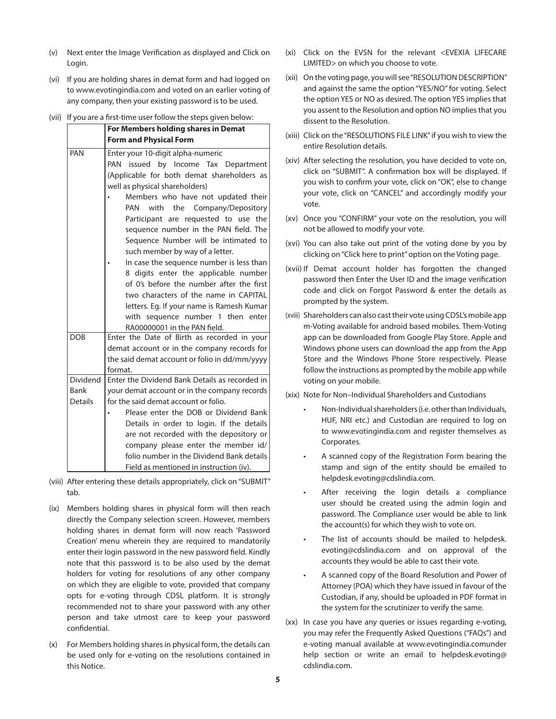- (v) Next enter the Image Verification as displayed and Click on Login.
- (vi) If you are holding shares in demat form and had logged on to [www.evotingindia.com](http://www.evotingindia.com/) and voted on an earlier voting of any company, then your existing password is to be used.
- (vii) If you are a first-time user follow the steps given below:

|                 | For Members holding shares in Demat                                      |  |  |
|-----------------|--------------------------------------------------------------------------|--|--|
|                 | <b>Form and Physical Form</b>                                            |  |  |
| PAN             | Enter your 10-digit alpha-numeric<br>PAN issued by Income Tax Department |  |  |
|                 |                                                                          |  |  |
|                 | (Applicable for both demat shareholders as                               |  |  |
|                 | well as physical shareholders)                                           |  |  |
|                 | Members who have not updated their                                       |  |  |
|                 | PAN with the Company/Depository                                          |  |  |
|                 | Participant are requested to use the                                     |  |  |
|                 | sequence number in the PAN field. The                                    |  |  |
|                 | Sequence Number will be intimated to                                     |  |  |
|                 | such member by way of a letter.                                          |  |  |
|                 | In case the sequence number is less than                                 |  |  |
|                 | 8 digits enter the applicable number                                     |  |  |
|                 | of 0's before the number after the first                                 |  |  |
|                 | two characters of the name in CAPITAL                                    |  |  |
|                 | letters. Eg. If your name is Ramesh Kumar                                |  |  |
|                 | with sequence number 1 then enter                                        |  |  |
| <b>DOB</b>      | RA00000001 in the PAN field.                                             |  |  |
|                 | Enter the Date of Birth as recorded in your                              |  |  |
|                 | demat account or in the company records for                              |  |  |
|                 | the said demat account or folio in dd/mm/yyyy<br>format.                 |  |  |
| <b>Dividend</b> | Enter the Dividend Bank Details as recorded in                           |  |  |
| Bank            | your demat account or in the company records                             |  |  |
| <b>Details</b>  | for the said demat account or folio.                                     |  |  |
|                 | Please enter the DOB or Dividend Bank                                    |  |  |
|                 | Details in order to login. If the details                                |  |  |
|                 | are not recorded with the depository or                                  |  |  |
|                 | company please enter the member id/                                      |  |  |
|                 | folio number in the Dividend Bank details                                |  |  |
|                 | Field as mentioned in instruction (iv).                                  |  |  |

- (viii) After entering these details appropriately, click on "SUBMIT" tab.
- (ix) Members holding shares in physical form will then reach directly the Company selection screen. However, members holding shares in demat form will now reach 'Password Creation' menu wherein they are required to mandatorily enter their login password in the new password field. Kindly note that this password is to be also used by the demat holders for voting for resolutions of any other company on which they are eligible to vote, provided that company opts for e-voting through CDSL platform. It is strongly recommended not to share your password with any other person and take utmost care to keep your password confidential.
- (x) For Members holding shares in physical form, the details can be used only for e-voting on the resolutions contained in this Notice.
- (xi) Click on the EVSN for the relevant <EVEXIA LIFECARE LIMITED> on which you choose to vote.
- (xii) On the voting page, you will see "RESOLUTION DESCRIPTION" and against the same the option "YES/NO" for voting. Select the option YES or NO as desired. The option YES implies that you assent to the Resolution and option NO implies that you dissent to the Resolution.
- (xiii) Click on the "RESOLUTIONS FILE LINK" if you wish to view the entire Resolution details.
- (xiv) After selecting the resolution, you have decided to vote on, click on "SUBMIT". A confirmation box will be displayed. If you wish to confirm your vote, click on "OK", else to change your vote, click on "CANCEL" and accordingly modify your vote.
- (xv) Once you "CONFIRM" your vote on the resolution, you will not be allowed to modify your vote.
- (xvi) You can also take out print of the voting done by you by clicking on "Click here to print" option on the Voting page.
- (xvii) If Demat account holder has forgotten the changed password then Enter the User ID and the image verification code and click on Forgot Password & enter the details as prompted by the system.
- (xviii) Shareholders can also cast their vote using CDSL's mobile app m-Voting available for android based mobiles. Them-Voting app can be downloaded from Google Play Store. Apple and Windows phone users can download the app from the App Store and the Windows Phone Store respectively. Please follow the instructions as prompted by the mobile app while voting on your mobile.
- (xix) Note for Non–Individual Shareholders and Custodians
	- Non-Individual shareholders (i.e. other than Individuals, HUF, NRI etc.) and Custodian are required to log on to [www.evotingindia.com](http://www.evotingindia.com/) and register themselves as Corporates.
	- A scanned copy of the Registration Form bearing the stamp and sign of the entity should be emailed to [helpdesk.evoting@cdslindia.com](mailto:helpdesk.evoting@cdslindia.com).
	- After receiving the login details a compliance user should be created using the admin login and password. The Compliance user would be able to link the account(s) for which they wish to vote on.
	- The list of accounts should be mailed to [helpdesk.](mailto:helpdesk.evoting@cdslindia.com) [evoting@cdslindia.com](mailto:helpdesk.evoting@cdslindia.com) and on approval of the accounts they would be able to cast their vote.
	- A scanned copy of the Board Resolution and Power of Attorney (POA) which they have issued in favour of the Custodian, if any, should be uploaded in PDF format in the system for the scrutinizer to verify the same.
- (xx) In case you have any queries or issues regarding e-voting, you may refer the Frequently Asked Questions ("FAQs") and e-voting manual available at [www.evotingindia.comu](http://www.evotingindia.com/)nder help section or write an email to [helpdesk.evoting@](mailto:helpdesk.evoting@cdslindia.com) [cdslindia.com.](mailto:helpdesk.evoting@cdslindia.com)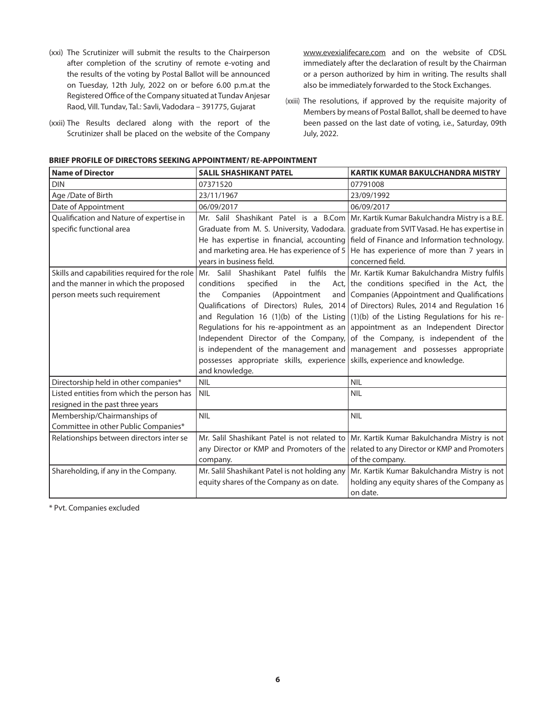- (xxi) The Scrutinizer will submit the results to the Chairperson after completion of the scrutiny of remote e-voting and the results of the voting by Postal Ballot will be announced on Tuesday, 12th July, 2022 on or before 6.00 p.m.at the Registered Office of the Company situated at Tundav Anjesar Raod, Vill. Tundav, Tal.: Savli, Vadodara – 391775, Gujarat
- (xxii) The Results declared along with the report of the Scrutinizer shall be placed on the website of the Company

[www.evexialifecare.com](http://www.evexialifecare.com) and on the website of CDSL immediately after the declaration of result by the Chairman or a person authorized by him in writing. The results shall also be immediately forwarded to the Stock Exchanges.

(xxiii) The resolutions, if approved by the requisite majority of Members by means of Postal Ballot, shall be deemed to have been passed on the last date of voting, i.e., Saturday, 09th July, 2022.

| <b>Name of Director</b>                       | <b>SALIL SHASHIKANT PATEL</b>                                              | <b>KARTIK KUMAR BAKULCHANDRA MISTRY</b>                                                 |
|-----------------------------------------------|----------------------------------------------------------------------------|-----------------------------------------------------------------------------------------|
| <b>DIN</b>                                    | 07371520                                                                   | 07791008                                                                                |
| Age /Date of Birth                            | 23/11/1967                                                                 | 23/09/1992                                                                              |
| Date of Appointment                           | 06/09/2017                                                                 | 06/09/2017                                                                              |
| Qualification and Nature of expertise in      |                                                                            | Mr. Salil Shashikant Patel is a B.Com   Mr. Kartik Kumar Bakulchandra Mistry is a B.E.  |
| specific functional area                      | Graduate from M. S. University, Vadodara.                                  | graduate from SVIT Vasad. He has expertise in                                           |
|                                               |                                                                            | He has expertise in financial, accounting field of Finance and Information technology.  |
|                                               | and marketing area. He has experience of 5                                 | He has experience of more than 7 years in                                               |
|                                               | vears in business field.                                                   | concerned field.                                                                        |
| Skills and capabilities required for the role | Mr. Salil Shashikant Patel<br>fulfils                                      | the Mr. Kartik Kumar Bakulchandra Mistry fulfils                                        |
| and the manner in which the proposed          | conditions<br>specified<br>the<br>in                                       | Act, the conditions specified in the Act, the                                           |
| person meets such requirement                 | Companies<br>(Appointment<br>the                                           | and Companies (Appointment and Qualifications                                           |
|                                               |                                                                            | Qualifications of Directors) Rules, 2014 of Directors) Rules, 2014 and Regulation 16    |
|                                               |                                                                            | and Regulation 16 (1)(b) of the Listing $(1)(b)$ of the Listing Regulations for his re- |
|                                               |                                                                            | Regulations for his re-appointment as an appointment as an Independent Director         |
|                                               |                                                                            | Independent Director of the Company, of the Company, is independent of the              |
|                                               |                                                                            | is independent of the management and $\vert$ management and possesses appropriate       |
|                                               | possesses appropriate skills, experience skills, experience and knowledge. |                                                                                         |
|                                               | and knowledge.                                                             |                                                                                         |
| Directorship held in other companies*         | <b>NIL</b>                                                                 | <b>NIL</b>                                                                              |
| Listed entities from which the person has     | <b>NIL</b>                                                                 | <b>NIL</b>                                                                              |
| resigned in the past three years              |                                                                            |                                                                                         |
| Membership/Chairmanships of                   | <b>NIL</b>                                                                 | <b>NIL</b>                                                                              |
| Committee in other Public Companies*          |                                                                            |                                                                                         |
| Relationships between directors inter se      | Mr. Salil Shashikant Patel is not related to                               | Mr. Kartik Kumar Bakulchandra Mistry is not                                             |
|                                               |                                                                            | any Director or KMP and Promoters of the related to any Director or KMP and Promoters   |
|                                               | company.                                                                   | of the company.                                                                         |
| Shareholding, if any in the Company.          | Mr. Salil Shashikant Patel is not holding any                              | Mr. Kartik Kumar Bakulchandra Mistry is not                                             |
|                                               | equity shares of the Company as on date.                                   | holding any equity shares of the Company as                                             |
|                                               |                                                                            | on date.                                                                                |

\* Pvt. Companies excluded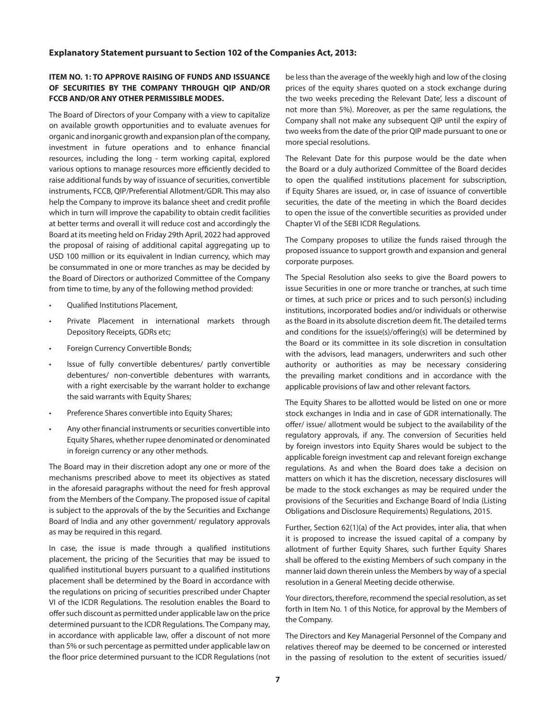#### **Explanatory Statement pursuant to Section 102 of the Companies Act, 2013:**

### **ITEM NO. 1: TO APPROVE RAISING OF FUNDS AND ISSUANCE OF SECURITIES BY THE COMPANY THROUGH QIP AND/OR FCCB AND/OR ANY OTHER PERMISSIBLE MODES.**

The Board of Directors of your Company with a view to capitalize on available growth opportunities and to evaluate avenues for organic and inorganic growth and expansion plan of the company, investment in future operations and to enhance financial resources, including the long - term working capital, explored various options to manage resources more efficiently decided to raise additional funds by way of issuance of securities, convertible instruments, FCCB, QIP/Preferential Allotment/GDR. This may also help the Company to improve its balance sheet and credit profile which in turn will improve the capability to obtain credit facilities at better terms and overall it will reduce cost and accordingly the Board at its meeting held on Friday 29th April, 2022 had approved the proposal of raising of additional capital aggregating up to USD 100 million or its equivalent in Indian currency, which may be consummated in one or more tranches as may be decided by the Board of Directors or authorized Committee of the Company from time to time, by any of the following method provided:

- Qualified Institutions Placement,
- Private Placement in international markets through Depository Receipts, GDRs etc;
- Foreign Currency Convertible Bonds;
- Issue of fully convertible debentures/ partly convertible debentures/ non-convertible debentures with warrants, with a right exercisable by the warrant holder to exchange the said warrants with Equity Shares;
- Preference Shares convertible into Equity Shares;
- Any other financial instruments or securities convertible into Equity Shares, whether rupee denominated or denominated in foreign currency or any other methods.

The Board may in their discretion adopt any one or more of the mechanisms prescribed above to meet its objectives as stated in the aforesaid paragraphs without the need for fresh approval from the Members of the Company. The proposed issue of capital is subject to the approvals of the by the Securities and Exchange Board of India and any other government/ regulatory approvals as may be required in this regard.

In case, the issue is made through a qualified institutions placement, the pricing of the Securities that may be issued to qualified institutional buyers pursuant to a qualified institutions placement shall be determined by the Board in accordance with the regulations on pricing of securities prescribed under Chapter VI of the ICDR Regulations. The resolution enables the Board to offer such discount as permitted under applicable law on the price determined pursuant to the ICDR Regulations. The Company may, in accordance with applicable law, offer a discount of not more than 5% or such percentage as permitted under applicable law on the floor price determined pursuant to the ICDR Regulations (not

be less than the average of the weekly high and low of the closing prices of the equity shares quoted on a stock exchange during the two weeks preceding the Relevant Date', less a discount of not more than 5%). Moreover, as per the same regulations, the Company shall not make any subsequent QIP until the expiry of two weeks from the date of the prior QIP made pursuant to one or more special resolutions.

The Relevant Date for this purpose would be the date when the Board or a duly authorized Committee of the Board decides to open the qualified institutions placement for subscription, if Equity Shares are issued, or, in case of issuance of convertible securities, the date of the meeting in which the Board decides to open the issue of the convertible securities as provided under Chapter VI of the SEBI ICDR Regulations.

The Company proposes to utilize the funds raised through the proposed issuance to support growth and expansion and general corporate purposes.

The Special Resolution also seeks to give the Board powers to issue Securities in one or more tranche or tranches, at such time or times, at such price or prices and to such person(s) including institutions, incorporated bodies and/or individuals or otherwise as the Board in its absolute discretion deem fit. The detailed terms and conditions for the issue(s)/offering(s) will be determined by the Board or its committee in its sole discretion in consultation with the advisors, lead managers, underwriters and such other authority or authorities as may be necessary considering the prevailing market conditions and in accordance with the applicable provisions of law and other relevant factors.

The Equity Shares to be allotted would be listed on one or more stock exchanges in India and in case of GDR internationally. The offer/ issue/ allotment would be subject to the availability of the regulatory approvals, if any. The conversion of Securities held by foreign investors into Equity Shares would be subject to the applicable foreign investment cap and relevant foreign exchange regulations. As and when the Board does take a decision on matters on which it has the discretion, necessary disclosures will be made to the stock exchanges as may be required under the provisions of the Securities and Exchange Board of India (Listing Obligations and Disclosure Requirements) Regulations, 2015.

Further, Section 62(1)(a) of the Act provides, inter alia, that when it is proposed to increase the issued capital of a company by allotment of further Equity Shares, such further Equity Shares shall be offered to the existing Members of such company in the manner laid down therein unless the Members by way of a special resolution in a General Meeting decide otherwise.

Your directors, therefore, recommend the special resolution, as set forth in Item No. 1 of this Notice, for approval by the Members of the Company.

The Directors and Key Managerial Personnel of the Company and relatives thereof may be deemed to be concerned or interested in the passing of resolution to the extent of securities issued/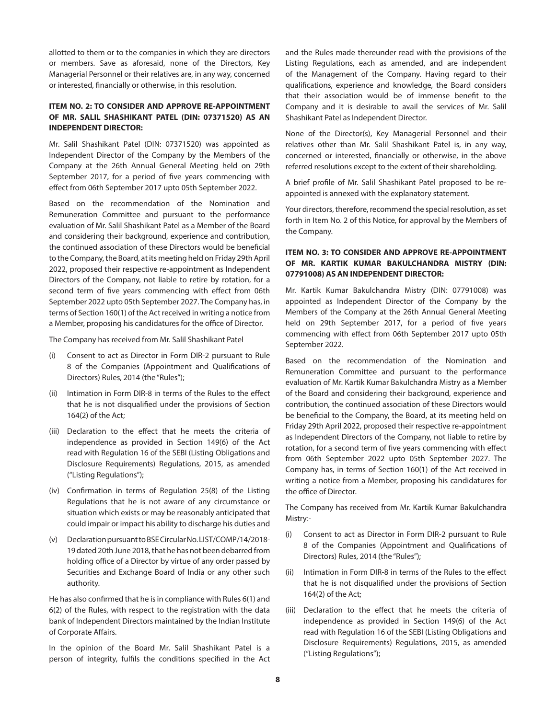allotted to them or to the companies in which they are directors or members. Save as aforesaid, none of the Directors, Key Managerial Personnel or their relatives are, in any way, concerned or interested, financially or otherwise, in this resolution.

## **ITEM NO. 2: TO CONSIDER AND APPROVE RE-APPOINTMENT OF MR. SALIL SHASHIKANT PATEL (DIN: 07371520) AS AN INDEPENDENT DIRECTOR:**

Mr. Salil Shashikant Patel (DIN: 07371520) was appointed as Independent Director of the Company by the Members of the Company at the 26th Annual General Meeting held on 29th September 2017, for a period of five years commencing with effect from 06th September 2017 upto 05th September 2022.

Based on the recommendation of the Nomination and Remuneration Committee and pursuant to the performance evaluation of Mr. Salil Shashikant Patel as a Member of the Board and considering their background, experience and contribution, the continued association of these Directors would be beneficial to the Company, the Board, at its meeting held on Friday 29th April 2022, proposed their respective re-appointment as Independent Directors of the Company, not liable to retire by rotation, for a second term of five years commencing with effect from 06th September 2022 upto 05th September 2027. The Company has, in terms of Section 160(1) of the Act received in writing a notice from a Member, proposing his candidatures for the office of Director.

The Company has received from Mr. Salil Shashikant Patel

- (i) Consent to act as Director in Form DIR-2 pursuant to Rule 8 of the Companies (Appointment and Qualifications of Directors) Rules, 2014 (the "Rules");
- (ii) Intimation in Form DIR-8 in terms of the Rules to the effect that he is not disqualified under the provisions of Section 164(2) of the Act;
- (iii) Declaration to the effect that he meets the criteria of independence as provided in Section 149(6) of the Act read with Regulation 16 of the SEBI (Listing Obligations and Disclosure Requirements) Regulations, 2015, as amended ("Listing Regulations");
- (iv) Confirmation in terms of Regulation 25(8) of the Listing Regulations that he is not aware of any circumstance or situation which exists or may be reasonably anticipated that could impair or impact his ability to discharge his duties and
- (v) Declaration pursuant to BSE Circular No. LIST/COMP/14/2018- 19 dated 20th June 2018, that he has not been debarred from holding office of a Director by virtue of any order passed by Securities and Exchange Board of India or any other such authority.

He has also confirmed that he is in compliance with Rules 6(1) and 6(2) of the Rules, with respect to the registration with the data bank of Independent Directors maintained by the Indian Institute of Corporate Affairs.

In the opinion of the Board Mr. Salil Shashikant Patel is a person of integrity, fulfils the conditions specified in the Act and the Rules made thereunder read with the provisions of the Listing Regulations, each as amended, and are independent of the Management of the Company. Having regard to their qualifications, experience and knowledge, the Board considers that their association would be of immense benefit to the Company and it is desirable to avail the services of Mr. Salil Shashikant Patel as Independent Director.

None of the Director(s), Key Managerial Personnel and their relatives other than Mr. Salil Shashikant Patel is, in any way, concerned or interested, financially or otherwise, in the above referred resolutions except to the extent of their shareholding.

A brief profile of Mr. Salil Shashikant Patel proposed to be reappointed is annexed with the explanatory statement.

Your directors, therefore, recommend the special resolution, as set forth in Item No. 2 of this Notice, for approval by the Members of the Company.

## **ITEM NO. 3: TO CONSIDER AND APPROVE RE-APPOINTMENT OF MR. KARTIK KUMAR BAKULCHANDRA MISTRY (DIN: 07791008) AS AN INDEPENDENT DIRECTOR:**

Mr. Kartik Kumar Bakulchandra Mistry (DIN: 07791008) was appointed as Independent Director of the Company by the Members of the Company at the 26th Annual General Meeting held on 29th September 2017, for a period of five years commencing with effect from 06th September 2017 upto 05th September 2022.

Based on the recommendation of the Nomination and Remuneration Committee and pursuant to the performance evaluation of Mr. Kartik Kumar Bakulchandra Mistry as a Member of the Board and considering their background, experience and contribution, the continued association of these Directors would be beneficial to the Company, the Board, at its meeting held on Friday 29th April 2022, proposed their respective re-appointment as Independent Directors of the Company, not liable to retire by rotation, for a second term of five years commencing with effect from 06th September 2022 upto 05th September 2027. The Company has, in terms of Section 160(1) of the Act received in writing a notice from a Member, proposing his candidatures for the office of Director.

The Company has received from Mr. Kartik Kumar Bakulchandra Mistry:-

- (i) Consent to act as Director in Form DIR-2 pursuant to Rule 8 of the Companies (Appointment and Qualifications of Directors) Rules, 2014 (the "Rules");
- (ii) Intimation in Form DIR-8 in terms of the Rules to the effect that he is not disqualified under the provisions of Section 164(2) of the Act;
- (iii) Declaration to the effect that he meets the criteria of independence as provided in Section 149(6) of the Act read with Regulation 16 of the SEBI (Listing Obligations and Disclosure Requirements) Regulations, 2015, as amended ("Listing Regulations");